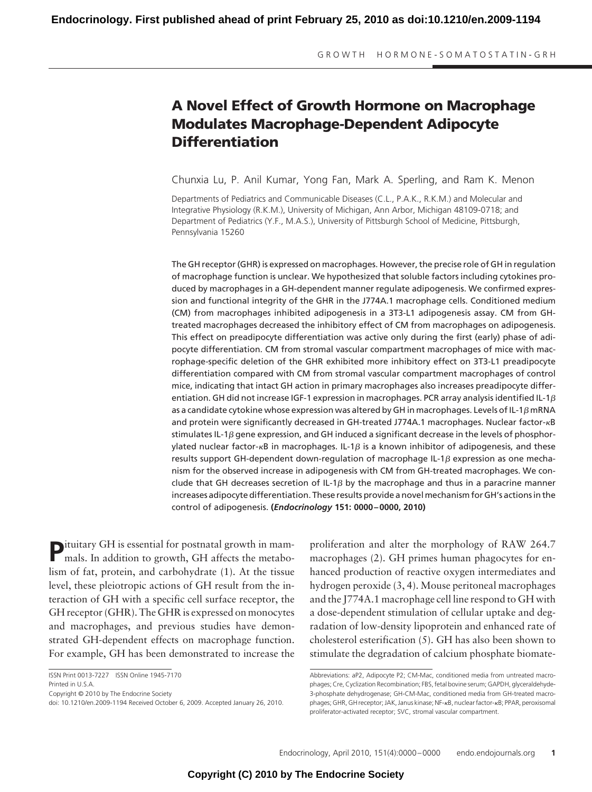# **A Novel Effect of Growth Hormone on Macrophage Modulates Macrophage-Dependent Adipocyte Differentiation**

Chunxia Lu, P. Anil Kumar, Yong Fan, Mark A. Sperling, and Ram K. Menon

Departments of Pediatrics and Communicable Diseases (C.L., P.A.K., R.K.M.) and Molecular and Integrative Physiology (R.K.M.), University of Michigan, Ann Arbor, Michigan 48109-0718; and Department of Pediatrics (Y.F., M.A.S.), University of Pittsburgh School of Medicine, Pittsburgh, Pennsylvania 15260

The GH receptor (GHR) is expressed on macrophages. However, the precise role of GH in regulation of macrophage function is unclear. We hypothesized that soluble factors including cytokines produced by macrophages in a GH-dependent manner regulate adipogenesis. We confirmed expression and functional integrity of the GHR in the J774A.1 macrophage cells. Conditioned medium (CM) from macrophages inhibited adipogenesis in a 3T3-L1 adipogenesis assay. CM from GHtreated macrophages decreased the inhibitory effect of CM from macrophages on adipogenesis. This effect on preadipocyte differentiation was active only during the first (early) phase of adipocyte differentiation. CM from stromal vascular compartment macrophages of mice with macrophage-specific deletion of the GHR exhibited more inhibitory effect on 3T3-L1 preadipocyte differentiation compared with CM from stromal vascular compartment macrophages of control mice, indicating that intact GH action in primary macrophages also increases preadipocyte differentiation. GH did not increase IGF-1 expression in macrophages. PCR array analysis identified IL-1 $\beta$ as a candidate cytokine whose expression was altered by GH in macrophages. Levels of IL-1 $\beta$  mRNA and protein were significantly decreased in GH-treated J774A.1 macrophages. Nuclear factor--B stimulates IL-1 $\beta$  gene expression, and GH induced a significant decrease in the levels of phosphorylated nuclear factor- $\kappa$ B in macrophages. IL-1 $\beta$  is a known inhibitor of adipogenesis, and these results support GH-dependent down-regulation of macrophage IL-1 $\beta$  expression as one mechanism for the observed increase in adipogenesis with CM from GH-treated macrophages. We conclude that GH decreases secretion of IL-1 $\beta$  by the macrophage and thus in a paracrine manner increases adipocyte differentiation. These results provide a novel mechanism for GH's actions in the control of adipogenesis. **(***Endocrinology* **151: 0000 – 0000, 2010)**

**P**ituitary GH is essential for postnatal growth in mammals. In addition to growth, GH affects the metabolism of fat, protein, and carbohydrate (1). At the tissue level, these pleiotropic actions of GH result from the interaction of GH with a specific cell surface receptor, the GH receptor (GHR). The GHR is expressed on monocytes and macrophages, and previous studies have demonstrated GH-dependent effects on macrophage function. For example, GH has been demonstrated to increase the

Copyright © 2010 by The Endocrine Society

doi: 10.1210/en.2009-1194 Received October 6, 2009. Accepted January 26, 2010.

proliferation and alter the morphology of RAW 264.7 macrophages (2). GH primes human phagocytes for enhanced production of reactive oxygen intermediates and hydrogen peroxide (3, 4). Mouse peritoneal macrophages and the J774A.1 macrophage cell line respond to GH with a dose-dependent stimulation of cellular uptake and degradation of low-density lipoprotein and enhanced rate of cholesterol esterification (5). GH has also been shown to stimulate the degradation of calcium phosphate biomate-

ISSN Print 0013-7227 ISSN Online 1945-7170 Printed in U.S.A.

Abbreviations: aP2, Adipocyte P2; CM-Mac, conditioned media from untreated macrophages; Cre, Cyclization Recombination; FBS, fetal bovine serum; GAPDH, glyceraldehyde-3-phosphate dehydrogenase; GH-CM-Mac, conditioned media from GH-treated macrophages; GHR, GH receptor; JAK, Janus kinase; NF-<sub>K</sub>B, nuclear factor-<sub>K</sub>B; PPAR, peroxisomal proliferator-activated receptor; SVC, stromal vascular compartment.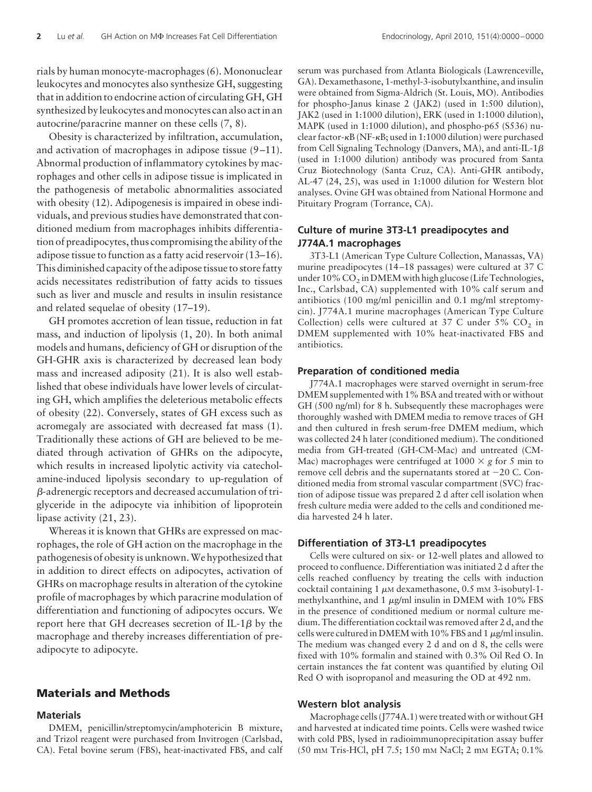rials by human monocyte-macrophages (6). Mononuclear leukocytes and monocytes also synthesize GH, suggesting that in addition to endocrine action of circulating GH, GH synthesized by leukocytes and monocytes can also act in an autocrine/paracrine manner on these cells (7, 8).

Obesity is characterized by infiltration, accumulation, and activation of macrophages in adipose tissue  $(9-11)$ . Abnormal production of inflammatory cytokines by macrophages and other cells in adipose tissue is implicated in the pathogenesis of metabolic abnormalities associated with obesity (12). Adipogenesis is impaired in obese individuals, and previous studies have demonstrated that conditioned medium from macrophages inhibits differentiation of preadipocytes, thus compromising the ability of the adipose tissue to function as a fatty acid reservoir (13–16). This diminished capacity of the adipose tissue to store fatty acids necessitates redistribution of fatty acids to tissues such as liver and muscle and results in insulin resistance and related sequelae of obesity (17–19).

GH promotes accretion of lean tissue, reduction in fat mass, and induction of lipolysis (1, 20). In both animal models and humans, deficiency of GH or disruption of the GH-GHR axis is characterized by decreased lean body mass and increased adiposity (21). It is also well established that obese individuals have lower levels of circulating GH, which amplifies the deleterious metabolic effects of obesity (22). Conversely, states of GH excess such as acromegaly are associated with decreased fat mass (1). Traditionally these actions of GH are believed to be mediated through activation of GHRs on the adipocyte, which results in increased lipolytic activity via catecholamine-induced lipolysis secondary to up-regulation of -adrenergic receptors and decreased accumulation of triglyceride in the adipocyte via inhibition of lipoprotein lipase activity (21, 23).

Whereas it is known that GHRs are expressed on macrophages, the role of GH action on the macrophage in the pathogenesis of obesity is unknown.We hypothesized that in addition to direct effects on adipocytes, activation of GHRs on macrophage results in alteration of the cytokine profile of macrophages by which paracrine modulation of differentiation and functioning of adipocytes occurs. We report here that GH decreases secretion of IL-1 $\beta$  by the macrophage and thereby increases differentiation of preadipocyte to adipocyte.

# **Materials and Methods**

#### **Materials**

DMEM, penicillin/streptomycin/amphotericin B mixture, and Trizol reagent were purchased from Invitrogen (Carlsbad, CA). Fetal bovine serum (FBS), heat-inactivated FBS, and calf serum was purchased from Atlanta Biologicals (Lawrenceville, GA). Dexamethasone, 1-methyl-3-isobutylxanthine, and insulin were obtained from Sigma-Aldrich (St. Louis, MO). Antibodies for phospho-Janus kinase 2 (JAK2) (used in 1:500 dilution), JAK2 (used in 1:1000 dilution), ERK (used in 1:1000 dilution), MAPK (used in 1:1000 dilution), and phospho-p65 (S536) nuclear factor--B (NF--B; used in 1:1000 dilution) were purchased from Cell Signaling Technology (Danvers, MA), and anti-IL-1 $\beta$ (used in 1:1000 dilution) antibody was procured from Santa Cruz Biotechnology (Santa Cruz, CA). Anti-GHR antibody, AL-47 (24, 25), was used in 1:1000 dilution for Western blot analyses. Ovine GH was obtained from National Hormone and Pituitary Program (Torrance, CA).

# **Culture of murine 3T3-L1 preadipocytes and J774A.1 macrophages**

3T3-L1 (American Type Culture Collection, Manassas, VA) murine preadipocytes (14 –18 passages) were cultured at 37 C under  $10\%$  CO<sub>2</sub> in DMEM with high glucose (Life Technologies, Inc., Carlsbad, CA) supplemented with 10% calf serum and antibiotics (100 mg/ml penicillin and 0.1 mg/ml streptomycin). J774A.1 murine macrophages (American Type Culture Collection) cells were cultured at 37 C under  $5\%$  CO<sub>2</sub> in DMEM supplemented with 10% heat-inactivated FBS and antibiotics.

## **Preparation of conditioned media**

J774A.1 macrophages were starved overnight in serum-free DMEM supplemented with 1% BSA and treated with or without GH (500 ng/ml) for 8 h. Subsequently these macrophages were thoroughly washed with DMEM media to remove traces of GH and then cultured in fresh serum-free DMEM medium, which was collected 24 h later (conditioned medium). The conditioned media from GH-treated (GH-CM-Mac) and untreated (CM-Mac) macrophages were centrifuged at  $1000 \times g$  for 5 min to remove cell debris and the supernatants stored at  $-20$  C. Conditioned media from stromal vascular compartment (SVC) fraction of adipose tissue was prepared 2 d after cell isolation when fresh culture media were added to the cells and conditioned media harvested 24 h later.

## **Differentiation of 3T3-L1 preadipocytes**

Cells were cultured on six- or 12-well plates and allowed to proceed to confluence. Differentiation was initiated 2 d after the cells reached confluency by treating the cells with induction cocktail containing  $1 \mu$ M dexamethasone, 0.5 mM 3-isobutyl-1methylxanthine, and  $1 \mu g/ml$  insulin in DMEM with  $10\%$  FBS in the presence of conditioned medium or normal culture medium. The differentiation cocktail was removed after 2 d, and the cells were cultured in DMEM with 10% FBS and 1  $\mu$ g/ml insulin. The medium was changed every 2 d and on d 8, the cells were fixed with 10% formalin and stained with 0.3% Oil Red O. In certain instances the fat content was quantified by eluting Oil Red O with isopropanol and measuring the OD at 492 nm.

## **Western blot analysis**

Macrophage cells (J774A.1) were treated with or without GH and harvested at indicated time points. Cells were washed twice with cold PBS, lysed in radioimmunoprecipitation assay buffer (50 mM Tris-HCl, pH 7.5; 150 mM NaCl; 2 mM EGTA; 0.1%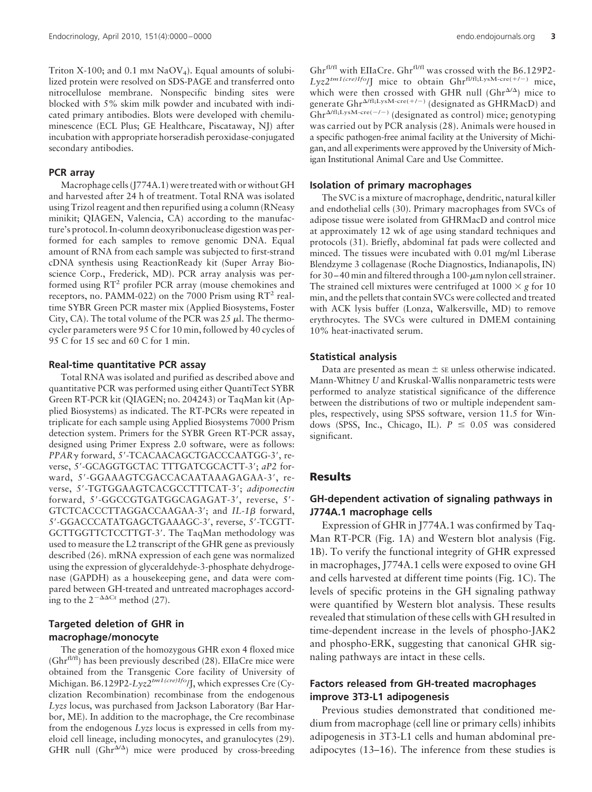Triton X-100; and 0.1 mm  $NaOV<sub>4</sub>$ ). Equal amounts of solubilized protein were resolved on SDS-PAGE and transferred onto nitrocellulose membrane. Nonspecific binding sites were blocked with 5% skim milk powder and incubated with indicated primary antibodies. Blots were developed with chemiluminescence (ECL Plus; GE Healthcare, Piscataway, NJ) after incubation with appropriate horseradish peroxidase-conjugated secondary antibodies.

#### **PCR array**

Macrophage cells (J774A.1) were treated with or without GH and harvested after 24 h of treatment. Total RNA was isolated using Trizol reagent and then repurified using a column (RNeasy minikit; QIAGEN, Valencia, CA) according to the manufacture's protocol. In-column deoxyribonuclease digestion was performed for each samples to remove genomic DNA. Equal amount of RNA from each sample was subjected to first-strand cDNA synthesis using ReactionReady kit (Super Array Bioscience Corp., Frederick, MD). PCR array analysis was performed using  $RT^2$  profiler PCR array (mouse chemokines and receptors, no. PAMM-022) on the 7000 Prism using  $RT^2$  realtime SYBR Green PCR master mix (Applied Biosystems, Foster City, CA). The total volume of the PCR was  $25 \mu$ l. The thermocycler parameters were 95 C for 10 min, followed by 40 cycles of 95 C for 15 sec and 60 C for 1 min.

#### **Real-time quantitative PCR assay**

Total RNA was isolated and purified as described above and quantitative PCR was performed using either QuantiTect SYBR Green RT-PCR kit (QIAGEN; no. 204243) or TaqMan kit (Applied Biosystems) as indicated. The RT-PCRs were repeated in triplicate for each sample using Applied Biosystems 7000 Prism detection system. Primers for the SYBR Green RT-PCR assay, designed using Primer Express 2.0 software, were as follows: PPAR<sub>Y</sub> forward, 5'-TCACAACAGCTGACCCAATGG-3', reverse, 5-GCAGGTGCTAC TTTGATCGCACTT-3; *aP2* forward, 5-GGAAAGTCGACCACAATAAAGAGAA-3, reverse, 5-TGTGGAAGTCACGCCTTTCAT-3; *adiponectin* forward, 5'-GGCCGTGATGGCAGAGAT-3', reverse, 5'-GTCTCACCCTTAGGACCAAGAA-3'; and *IL-1* $\beta$  forward, 5-GGACCCATATGAGCTGAAAGC-3, reverse, 5-TCGTT-GCTTGGTTCTCCTTGT-3'. The TaqMan methodology was used to measure the L2 transcript of the GHR gene as previously described (26). mRNA expression of each gene was normalized using the expression of glyceraldehyde-3-phosphate dehydrogenase (GAPDH) as a housekeeping gene, and data were compared between GH-treated and untreated macrophages according to the  $2^{-\Delta\Delta Ct}$  method (27).

# **Targeted deletion of GHR in macrophage/monocyte**

The generation of the homozygous GHR exon 4 floxed mice  $(Ghr<sup>f1/f1</sup>)$  has been previously described (28). EIIaCre mice were obtained from the Transgenic Core facility of University of Michigan. B6.129P2-*Lyz2tm1(cre)Ifo*/J, which expresses Cre (Cyclization Recombination) recombinase from the endogenous *Lyzs* locus, was purchased from Jackson Laboratory (Bar Harbor, ME). In addition to the macrophage, the Cre recombinase from the endogenous *Lyzs* locus is expressed in cells from myeloid cell lineage, including monocytes, and granulocytes (29). GHR null  $(Ghr^{\Delta/\Delta})$  mice were produced by cross-breeding

Ghr<sup>fl/fl</sup> with EIIaCre. Ghr<sup>fl/fl</sup> was crossed with the B6.129P2- $Lyz2^{tm1(cre)Ifo}/J$  mice to obtain Ghr<sup>fl/fl;LysM-cre(+/-)</sup> mice, which were then crossed with GHR null ( $Ghr^{\Delta/\Delta}$ ) mice to generate Ghr<sup> $\Delta$ /fl;LysM-cre(+/-)</sup> (designated as GHRMacD) and  $Ghr^{\Delta/fl;LysM-\text{cre}(-/-)}$  (designated as control) mice; genotyping was carried out by PCR analysis (28). Animals were housed in a specific pathogen-free animal facility at the University of Michigan, and all experiments were approved by the University of Michigan Institutional Animal Care and Use Committee.

#### **Isolation of primary macrophages**

The SVC is a mixture of macrophage, dendritic, natural killer and endothelial cells (30). Primary macrophages from SVCs of adipose tissue were isolated from GHRMacD and control mice at approximately 12 wk of age using standard techniques and protocols (31). Briefly, abdominal fat pads were collected and minced. The tissues were incubated with 0.01 mg/ml Liberase Blendzyme 3 collagenase (Roche Diagnostics, Indianapolis, IN) for 30-40 min and filtered through a 100- $\mu$ m nylon cell strainer. The strained cell mixtures were centrifuged at  $1000 \times g$  for 10 min, and the pellets that contain SVCs were collected and treated with ACK lysis buffer (Lonza, Walkersville, MD) to remove erythrocytes. The SVCs were cultured in DMEM containing 10% heat-inactivated serum.

#### **Statistical analysis**

Data are presented as mean  $\pm$  se unless otherwise indicated. Mann-Whitney *U* and Kruskal-Wallis nonparametric tests were performed to analyze statistical significance of the difference between the distributions of two or multiple independent samples, respectively, using SPSS software, version 11.5 for Windows (SPSS, Inc., Chicago, IL).  $P \le 0.05$  was considered significant.

## **Results**

# **GH-dependent activation of signaling pathways in J774A.1 macrophage cells**

Expression of GHR in J774A.1 was confirmed by Taq-Man RT-PCR (Fig. 1A) and Western blot analysis (Fig. 1B). To verify the functional integrity of GHR expressed in macrophages, J774A.1 cells were exposed to ovine GH and cells harvested at different time points (Fig. 1C). The levels of specific proteins in the GH signaling pathway were quantified by Western blot analysis. These results revealed that stimulation of these cells with GH resulted in time-dependent increase in the levels of phospho-JAK2 and phospho-ERK, suggesting that canonical GHR signaling pathways are intact in these cells.

## **Factors released from GH-treated macrophages improve 3T3-L1 adipogenesis**

Previous studies demonstrated that conditioned medium from macrophage (cell line or primary cells) inhibits adipogenesis in 3T3-L1 cells and human abdominal preadipocytes (13–16). The inference from these studies is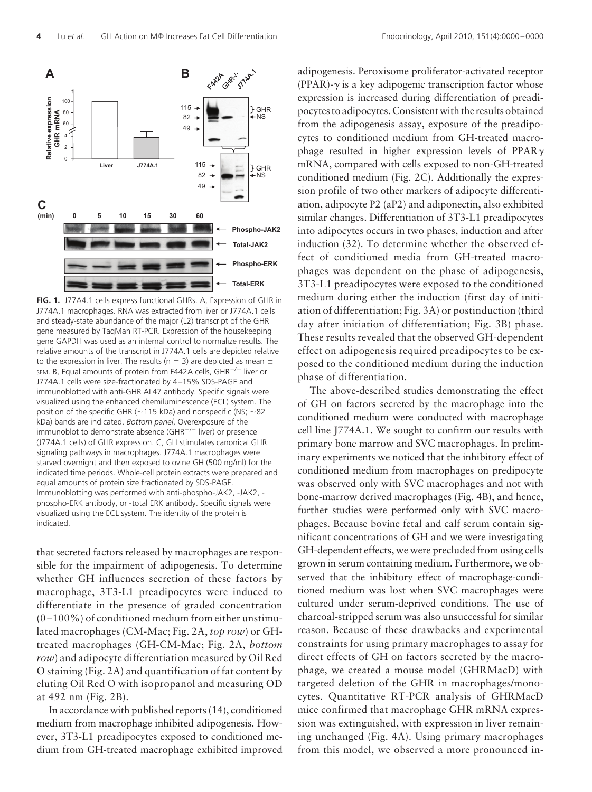

**FIG. 1.** J77A4.1 cells express functional GHRs. A, Expression of GHR in J774A.1 macrophages. RNA was extracted from liver or J774A.1 cells and steady-state abundance of the major (L2) transcript of the GHR gene measured by TaqMan RT-PCR. Expression of the housekeeping gene GAPDH was used as an internal control to normalize results. The relative amounts of the transcript in J774A.1 cells are depicted relative to the expression in liver. The results (n = 3) are depicted as mean  $\pm$ SEM. B, Equal amounts of protein from F442A cells, GHR<sup>-/-</sup> liver or J774A.1 cells were size-fractionated by 4 –15% SDS-PAGE and immunoblotted with anti-GHR AL47 antibody. Specific signals were visualized using the enhanced chemiluminescence (ECL) system. The position of the specific GHR ( $\sim$ 115 kDa) and nonspecific (NS;  $\sim$ 82 kDa) bands are indicated. *Bottom panel*, Overexposure of the immunoblot to demonstrate absence (GHR<sup>-/-</sup> liver) or presence (J774A.1 cells) of GHR expression. C, GH stimulates canonical GHR signaling pathways in macrophages. J774A.1 macrophages were starved overnight and then exposed to ovine GH (500 ng/ml) for the indicated time periods. Whole-cell protein extracts were prepared and equal amounts of protein size fractionated by SDS-PAGE. Immunoblotting was performed with anti-phospho-JAK2, -JAK2, phospho-ERK antibody, or -total ERK antibody. Specific signals were visualized using the ECL system. The identity of the protein is indicated.

that secreted factors released by macrophages are responsible for the impairment of adipogenesis. To determine whether GH influences secretion of these factors by macrophage, 3T3-L1 preadipocytes were induced to differentiate in the presence of graded concentration  $(0-100\%)$  of conditioned medium from either unstimulated macrophages (CM-Mac; Fig. 2A, *top row*) or GHtreated macrophages (GH-CM-Mac; Fig. 2A, *bottom row*) and adipocyte differentiation measured by Oil Red O staining (Fig. 2A) and quantification of fat content by eluting Oil Red O with isopropanol and measuring OD at 492 nm (Fig. 2B).

In accordance with published reports (14), conditioned medium from macrophage inhibited adipogenesis. However, 3T3-L1 preadipocytes exposed to conditioned medium from GH-treated macrophage exhibited improved

adipogenesis. Peroxisome proliferator-activated receptor  $(PPAR)$ - $\gamma$  is a key adipogenic transcription factor whose expression is increased during differentiation of preadipocytes to adipocytes. Consistent with the results obtained from the adipogenesis assay, exposure of the preadipocytes to conditioned medium from GH-treated macrophage resulted in higher expression levels of PPAR $\gamma$ mRNA, compared with cells exposed to non-GH-treated conditioned medium (Fig. 2C). Additionally the expression profile of two other markers of adipocyte differentiation, adipocyte P2 (aP2) and adiponectin, also exhibited similar changes. Differentiation of 3T3-L1 preadipocytes into adipocytes occurs in two phases, induction and after induction (32). To determine whether the observed effect of conditioned media from GH-treated macrophages was dependent on the phase of adipogenesis, 3T3-L1 preadipocytes were exposed to the conditioned medium during either the induction (first day of initiation of differentiation; Fig. 3A) or postinduction (third day after initiation of differentiation; Fig. 3B) phase. These results revealed that the observed GH-dependent effect on adipogenesis required preadipocytes to be exposed to the conditioned medium during the induction phase of differentiation.

The above-described studies demonstrating the effect of GH on factors secreted by the macrophage into the conditioned medium were conducted with macrophage cell line J774A.1. We sought to confirm our results with primary bone marrow and SVC macrophages. In preliminary experiments we noticed that the inhibitory effect of conditioned medium from macrophages on predipocyte was observed only with SVC macrophages and not with bone-marrow derived macrophages (Fig. 4B), and hence, further studies were performed only with SVC macrophages. Because bovine fetal and calf serum contain significant concentrations of GH and we were investigating GH-dependent effects, we were precluded from using cells grown in serum containing medium. Furthermore, we observed that the inhibitory effect of macrophage-conditioned medium was lost when SVC macrophages were cultured under serum-deprived conditions. The use of charcoal-stripped serum was also unsuccessful for similar reason. Because of these drawbacks and experimental constraints for using primary macrophages to assay for direct effects of GH on factors secreted by the macrophage, we created a mouse model (GHRMacD) with targeted deletion of the GHR in macrophages/monocytes. Quantitative RT-PCR analysis of GHRMacD mice confirmed that macrophage GHR mRNA expression was extinguished, with expression in liver remaining unchanged (Fig. 4A). Using primary macrophages from this model, we observed a more pronounced in-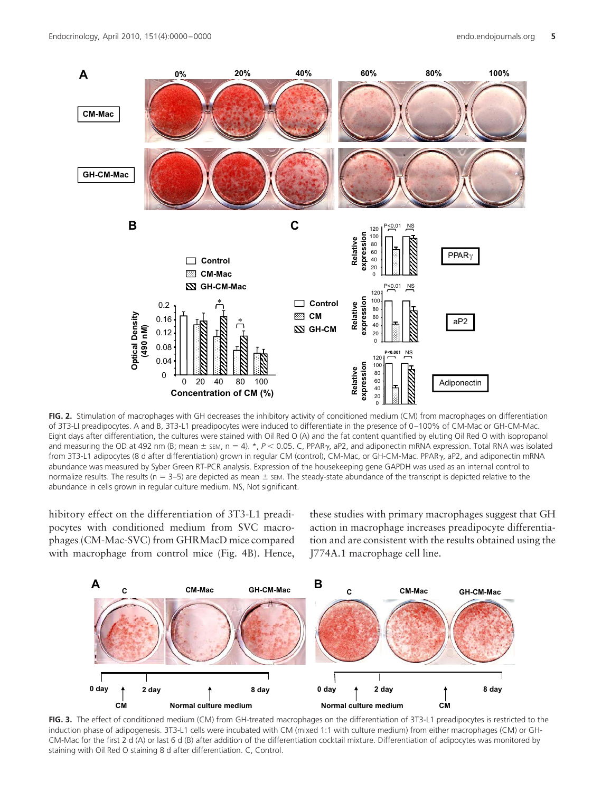

**FIG. 2.** Stimulation of macrophages with GH decreases the inhibitory activity of conditioned medium (CM) from macrophages on differentiation of 3T3-LI preadipocytes. A and B, 3T3-L1 preadipocytes were induced to differentiate in the presence of 0 –100% of CM-Mac or GH-CM-Mac. Eight days after differentiation, the cultures were stained with Oil Red O (A) and the fat content quantified by eluting Oil Red O with isopropanol and measuring the OD at 492 nm (B; mean ± sɛм, n = 4). \*,  $P$  < 0.05. C, PPAR $\gamma$ , aP2, and adiponectin mRNA expression. Total RNA was isolated from 3T3-L1 adipocytes (8 d after differentiation) grown in regular CM (control), CM-Mac, or GH-CM-Mac. PPAR<sub>Y</sub>, aP2, and adiponectin mRNA abundance was measured by Syber Green RT-PCR analysis. Expression of the housekeeping gene GAPDH was used as an internal control to normalize results. The results ( $n = 3-5$ ) are depicted as mean  $\pm$  sem. The steady-state abundance of the transcript is depicted relative to the abundance in cells grown in regular culture medium. NS, Not significant.

hibitory effect on the differentiation of 3T3-L1 preadipocytes with conditioned medium from SVC macrophages (CM-Mac-SVC) from GHRMacD mice compared with macrophage from control mice (Fig. 4B). Hence,

these studies with primary macrophages suggest that GH action in macrophage increases preadipocyte differentiation and are consistent with the results obtained using the J774A.1 macrophage cell line.



**FIG. 3.** The effect of conditioned medium (CM) from GH-treated macrophages on the differentiation of 3T3-L1 preadipocytes is restricted to the induction phase of adipogenesis. 3T3-L1 cells were incubated with CM (mixed 1:1 with culture medium) from either macrophages (CM) or GH-CM-Mac for the first 2 d (A) or last 6 d (B) after addition of the differentiation cocktail mixture. Differentiation of adipocytes was monitored by staining with Oil Red O staining 8 d after differentiation. C, Control.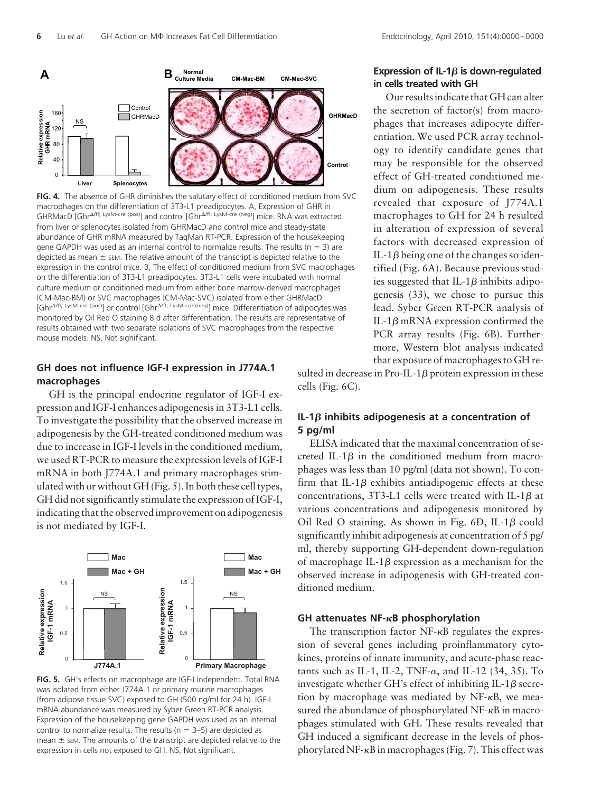

**FIG. 4.** The absence of GHR diminishes the salutary effect of conditioned medium from SVC macrophages on the differentiation of 3T3-L1 preadipocytes. A, Expression of GHR in GHRMacD [Ghr<sup>4/fl; LysM-cre (pos)</sup>] and control [Ghr<sup>4/fl; LysM-cre (neg)</sup>] mice. RNA was extracted from liver or splenocytes isolated from GHRMacD and control mice and steady-state abundance of GHR mRNA measured by TaqMan RT-PCR. Expression of the housekeeping gene GAPDH was used as an internal control to normalize results. The results ( $n = 3$ ) are depicted as mean  $\pm$  sEM. The relative amount of the transcript is depicted relative to the expression in the control mice. B, The effect of conditioned medium from SVC macrophages on the differentiation of 3T3-L1 preadipocytes. 3T3-L1 cells were incubated with normal culture medium or conditioned medium from either bone marrow-derived macrophages (CM-Mac-BM) or SVC macrophages (CM-Mac-SVC) isolated from either GHRMacD [Ghr<sup>A/fl; LysM-cre (pos)</sup>] or control [Ghr<sup>A/fl; LysM-cre (neg)</sup>] mice. Differentiation of adipocytes was monitored by Oil Red O staining 8 d after differentiation. The results are representative of results obtained with two separate isolations of SVC macrophages from the respective mouse models. NS, Not significant.

# **GH does not influence IGF-I expression in J774A.1 macrophages**

GH is the principal endocrine regulator of IGF-I expression and IGF-I enhances adipogenesis in 3T3-L1 cells. To investigate the possibility that the observed increase in adipogenesis by the GH-treated conditioned medium was due to increase in IGF-I levels in the conditioned medium, we used RT-PCR to measure the expression levels of IGF-I mRNA in both J774A.1 and primary macrophages stimulated with or without GH (Fig. 5). In both these cell types, GH did not significantly stimulate the expression of IGF-I, indicating that the observed improvement on adipogenesis is not mediated by IGF-I.



**FIG. 5.** GH's effects on macrophage are IGF-I independent. Total RNA was isolated from either J774A.1 or primary murine macrophages (from adipose tissue SVC) exposed to GH (500 ng/ml for 24 h). IGF-I mRNA abundance was measured by Syber Green RT-PCR analysis. Expression of the housekeeping gene GAPDH was used as an internal control to normalize results. The results ( $n = 3-5$ ) are depicted as mean  $\pm$  sEM. The amounts of the transcript are depicted relative to the expression in cells not exposed to GH. NS, Not significant.

sulted in decrease in Pro-IL-1 $\beta$  protein expression in these cells (Fig. 6C).

# $IL-1\beta$  inhibits adipogenesis at a concentration of **5 pg/ml**

ELISA indicated that the maximal concentration of secreted IL-1 $\beta$  in the conditioned medium from macrophages was less than 10 pg/ml (data not shown). To confirm that IL-1 $\beta$  exhibits antiadipogenic effects at these concentrations, 3T3-L1 cells were treated with IL-1 $\beta$  at various concentrations and adipogenesis monitored by Oil Red O staining. As shown in Fig.  $6D$ , IL-1 $\beta$  could significantly inhibit adipogenesis at concentration of 5 pg/ ml, thereby supporting GH-dependent down-regulation of macrophage IL-1 $\beta$  expression as a mechanism for the observed increase in adipogenesis with GH-treated conditioned medium.

#### **GH attenuates NF-**-**B phosphorylation**

The transcription factor  $NF-\kappa B$  regulates the expression of several genes including proinflammatory cytokines, proteins of innate immunity, and acute-phase reactants such as IL-1, IL-2, TNF- $\alpha$ , and IL-12 (34, 35). To investigate whether GH's effect of inhibiting IL-1 $\beta$  secretion by macrophage was mediated by  $NF-\kappa B$ , we measured the abundance of phosphorylated NF- $\kappa$ B in macrophages stimulated with GH. These results revealed that GH induced a significant decrease in the levels of phosphorylated NF--B in macrophages (Fig. 7). This effect was

# **Expression of IL-1** $\beta$  **is down-regulated in cells treated with GH**

Our results indicate that GH can alter the secretion of factor(s) from macrophages that increases adipocyte differentiation. We used PCR array technology to identify candidate genes that may be responsible for the observed effect of GH-treated conditioned medium on adipogenesis. These results revealed that exposure of J774A.1 macrophages to GH for 24 h resulted in alteration of expression of several factors with decreased expression of IL-1 $\beta$  being one of the changes so identified (Fig. 6A). Because previous studies suggested that IL-1 $\beta$  inhibits adipogenesis (33), we chose to pursue this lead. Syber Green RT-PCR analysis of IL-1 $\beta$  mRNA expression confirmed the PCR array results (Fig. 6B). Furthermore, Western blot analysis indicated that exposure of macrophages to GH re-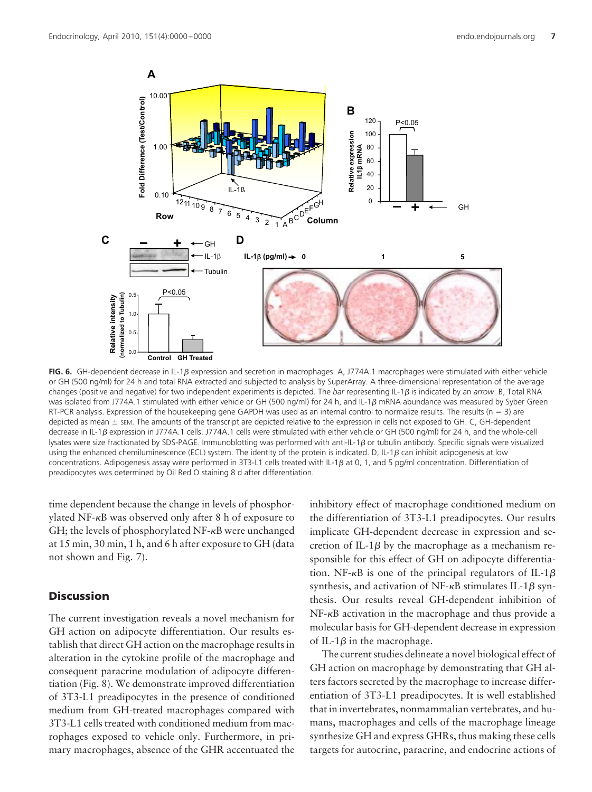

FIG. 6. GH-dependent decrease in IL-1 $\beta$  expression and secretion in macrophages. A, J774A.1 macrophages were stimulated with either vehicle or GH (500 ng/ml) for 24 h and total RNA extracted and subjected to analysis by SuperArray. A three-dimensional representation of the average changes (positive and negative) for two independent experiments is depicted. The *bar* representing IL-1 $\beta$  is indicated by an *arrow*. B, Total RNA was isolated from J774A.1 stimulated with either vehicle or GH (500 ng/ml) for 24 h, and IL-1 $\beta$  mRNA abundance was measured by Syber Green RT-PCR analysis. Expression of the housekeeping gene GAPDH was used as an internal control to normalize results. The results ( $n = 3$ ) are depicted as mean  $\pm$  sEM. The amounts of the transcript are depicted relative to the expression in cells not exposed to GH. C, GH-dependent decrease in IL-1 $\beta$  expression in J774A.1 cells. J774A.1 cells were stimulated with either vehicle or GH (500 ng/ml) for 24 h, and the whole-cell lysates were size fractionated by SDS-PAGE. Immunoblotting was performed with anti-IL-1  $\beta$  or tubulin antibody. Specific signals were visualized using the enhanced chemiluminescence (ECL) system. The identity of the protein is indicated. D, IL-1 $\beta$  can inhibit adipogenesis at low concentrations. Adipogenesis assay were performed in 3T3-L1 cells treated with IL-1 $\beta$  at 0, 1, and 5 pg/ml concentration. Differentiation of preadipocytes was determined by Oil Red O staining 8 d after differentiation.

time dependent because the change in levels of phosphorylated NF--B was observed only after 8 h of exposure to GH; the levels of phosphorylated NF--B were unchanged at 15 min, 30 min, 1 h, and 6 h after exposure to GH (data not shown and Fig. 7).

# **Discussion**

The current investigation reveals a novel mechanism for GH action on adipocyte differentiation. Our results establish that direct GH action on the macrophage results in alteration in the cytokine profile of the macrophage and consequent paracrine modulation of adipocyte differentiation (Fig. 8). We demonstrate improved differentiation of 3T3-L1 preadipocytes in the presence of conditioned medium from GH-treated macrophages compared with 3T3-L1 cells treated with conditioned medium from macrophages exposed to vehicle only. Furthermore, in primary macrophages, absence of the GHR accentuated the inhibitory effect of macrophage conditioned medium on the differentiation of 3T3-L1 preadipocytes. Our results implicate GH-dependent decrease in expression and secretion of IL-1 $\beta$  by the macrophage as a mechanism responsible for this effect of GH on adipocyte differentiation. NF- $\kappa$ B is one of the principal regulators of IL-1 $\beta$ synthesis, and activation of NF- $\kappa$ B stimulates IL-1 $\beta$  synthesis. Our results reveal GH-dependent inhibition of NF- $\kappa$ B activation in the macrophage and thus provide a molecular basis for GH-dependent decrease in expression of IL-1 $\beta$  in the macrophage.

The current studies delineate a novel biological effect of GH action on macrophage by demonstrating that GH alters factors secreted by the macrophage to increase differentiation of 3T3-L1 preadipocytes. It is well established that in invertebrates, nonmammalian vertebrates, and humans, macrophages and cells of the macrophage lineage synthesize GH and express GHRs, thus making these cells targets for autocrine, paracrine, and endocrine actions of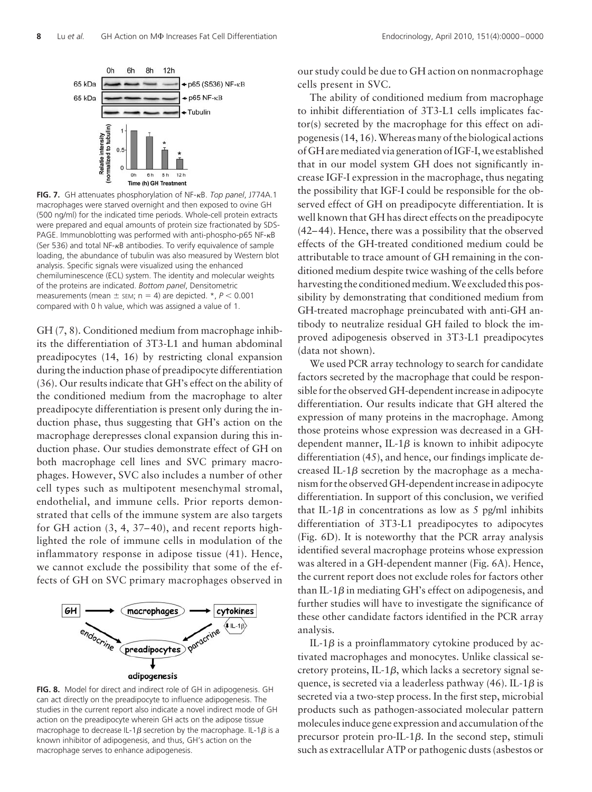

**FIG. 7.** GH attenuates phosphorylation of NF-<sub>K</sub>B. Top panel, J774A.1 macrophages were starved overnight and then exposed to ovine GH (500 ng/ml) for the indicated time periods. Whole-cell protein extracts were prepared and equal amounts of protein size fractionated by SDS-PAGE. Immunoblotting was performed with anti-phospho-p65 NF- $\kappa$ B (Ser 536) and total NF- $\kappa$ B antibodies. To verify equivalence of sample loading, the abundance of tubulin was also measured by Western blot analysis. Specific signals were visualized using the enhanced chemiluminescence (ECL) system. The identity and molecular weights of the proteins are indicated. *Bottom panel*, Densitometric measurements (mean  $\pm$  sEM; n = 4) are depicted.  $\star$ ,  $P < 0.001$ compared with 0 h value, which was assigned a value of 1.

GH (7, 8). Conditioned medium from macrophage inhibits the differentiation of 3T3-L1 and human abdominal preadipocytes (14, 16) by restricting clonal expansion during the induction phase of preadipocyte differentiation (36). Our results indicate that GH's effect on the ability of the conditioned medium from the macrophage to alter preadipocyte differentiation is present only during the induction phase, thus suggesting that GH's action on the macrophage derepresses clonal expansion during this induction phase. Our studies demonstrate effect of GH on both macrophage cell lines and SVC primary macrophages. However, SVC also includes a number of other cell types such as multipotent mesenchymal stromal, endothelial, and immune cells. Prior reports demonstrated that cells of the immune system are also targets for GH action  $(3, 4, 37-40)$ , and recent reports highlighted the role of immune cells in modulation of the inflammatory response in adipose tissue (41). Hence, we cannot exclude the possibility that some of the effects of GH on SVC primary macrophages observed in



**FIG. 8.** Model for direct and indirect role of GH in adipogenesis. GH can act directly on the preadipocyte to influence adipogenesis. The studies in the current report also indicate a novel indirect mode of GH action on the preadipocyte wherein GH acts on the adipose tissue macrophage to decrease IL-1 $\beta$  secretion by the macrophage. IL-1 $\beta$  is a known inhibitor of adipogenesis, and thus, GH's action on the macrophage serves to enhance adipogenesis.

our study could be due to GH action on nonmacrophage cells present in SVC.

The ability of conditioned medium from macrophage to inhibit differentiation of 3T3-L1 cells implicates factor(s) secreted by the macrophage for this effect on adipogenesis (14, 16).Whereas many of the biological actions of GH are mediated via generation of IGF-I, we established that in our model system GH does not significantly increase IGF-I expression in the macrophage, thus negating the possibility that IGF-I could be responsible for the observed effect of GH on preadipocyte differentiation. It is well known that GH has direct effects on the preadipocyte (42– 44). Hence, there was a possibility that the observed effects of the GH-treated conditioned medium could be attributable to trace amount of GH remaining in the conditioned medium despite twice washing of the cells before harvesting the conditioned medium.We excluded this possibility by demonstrating that conditioned medium from GH-treated macrophage preincubated with anti-GH antibody to neutralize residual GH failed to block the improved adipogenesis observed in 3T3-L1 preadipocytes (data not shown).

We used PCR array technology to search for candidate factors secreted by the macrophage that could be responsible for the observed GH-dependent increase in adipocyte differentiation. Our results indicate that GH altered the expression of many proteins in the macrophage. Among those proteins whose expression was decreased in a GHdependent manner, IL-1 $\beta$  is known to inhibit adipocyte differentiation (45), and hence, our findings implicate decreased IL-1 $\beta$  secretion by the macrophage as a mechanism for the observed GH-dependent increase in adipocyte differentiation. In support of this conclusion, we verified that IL-1 $\beta$  in concentrations as low as 5 pg/ml inhibits differentiation of 3T3-L1 preadipocytes to adipocytes (Fig. 6D). It is noteworthy that the PCR array analysis identified several macrophage proteins whose expression was altered in a GH-dependent manner (Fig. 6A). Hence, the current report does not exclude roles for factors other than IL-1 $\beta$  in mediating GH's effect on adipogenesis, and further studies will have to investigate the significance of these other candidate factors identified in the PCR array analysis.

IL-1 $\beta$  is a proinflammatory cytokine produced by activated macrophages and monocytes. Unlike classical secretory proteins, IL-1 $\beta$ , which lacks a secretory signal sequence, is secreted via a leaderless pathway (46). IL-1 $\beta$  is secreted via a two-step process. In the first step, microbial products such as pathogen-associated molecular pattern molecules induce gene expression and accumulation of the precursor protein pro-IL-1 $\beta$ . In the second step, stimuli such as extracellular ATP or pathogenic dusts (asbestos or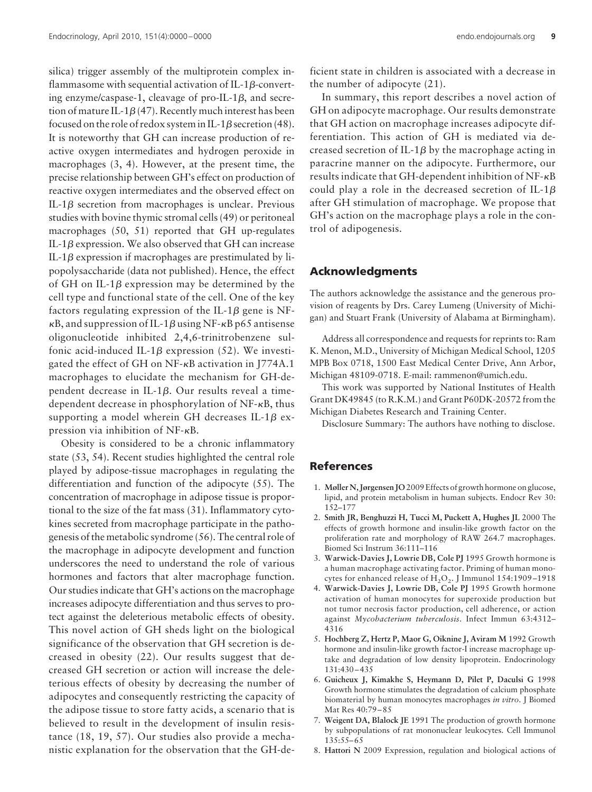silica) trigger assembly of the multiprotein complex inflammasome with sequential activation of IL-1 $\beta$ -converting enzyme/caspase-1, cleavage of pro-IL-1 $\beta$ , and secretion of mature IL-1 $\beta$ (47). Recently much interest has been focused on the role of redox system in IL-1 $\beta$  secretion (48). It is noteworthy that GH can increase production of reactive oxygen intermediates and hydrogen peroxide in macrophages (3, 4). However, at the present time, the precise relationship between GH's effect on production of reactive oxygen intermediates and the observed effect on IL-1 $\beta$  secretion from macrophages is unclear. Previous studies with bovine thymic stromal cells (49) or peritoneal macrophages (50, 51) reported that GH up-regulates IL-1 $\beta$  expression. We also observed that GH can increase IL-1 $\beta$  expression if macrophages are prestimulated by lipopolysaccharide (data not published). Hence, the effect of GH on IL-1 $\beta$  expression may be determined by the cell type and functional state of the cell. One of the key factors regulating expression of the IL-1 $\beta$  gene is NF- $\kappa$ B, and suppression of IL-1 $\beta$  using NF- $\kappa$ B p65 antisense oligonucleotide inhibited 2,4,6-trinitrobenzene sulfonic acid-induced IL-1 $\beta$  expression (52). We investigated the effect of GH on NF--B activation in J774A.1 macrophages to elucidate the mechanism for GH-dependent decrease in IL-1 $\beta$ . Our results reveal a timedependent decrease in phosphorylation of NF- $\kappa$ B, thus supporting a model wherein GH decreases IL-1 $\beta$  expression via inhibition of  $NF-\kappa B$ .

Obesity is considered to be a chronic inflammatory state (53, 54). Recent studies highlighted the central role played by adipose-tissue macrophages in regulating the differentiation and function of the adipocyte (55). The concentration of macrophage in adipose tissue is proportional to the size of the fat mass (31). Inflammatory cytokines secreted from macrophage participate in the pathogenesis of the metabolic syndrome (56). The central role of the macrophage in adipocyte development and function underscores the need to understand the role of various hormones and factors that alter macrophage function. Our studies indicate that GH's actions on the macrophage increases adipocyte differentiation and thus serves to protect against the deleterious metabolic effects of obesity. This novel action of GH sheds light on the biological significance of the observation that GH secretion is decreased in obesity (22). Our results suggest that decreased GH secretion or action will increase the deleterious effects of obesity by decreasing the number of adipocytes and consequently restricting the capacity of the adipose tissue to store fatty acids, a scenario that is believed to result in the development of insulin resistance (18, 19, 57). Our studies also provide a mechanistic explanation for the observation that the GH-deficient state in children is associated with a decrease in the number of adipocyte (21).

In summary, this report describes a novel action of GH on adipocyte macrophage. Our results demonstrate that GH action on macrophage increases adipocyte differentiation. This action of GH is mediated via decreased secretion of IL-1 $\beta$  by the macrophage acting in paracrine manner on the adipocyte. Furthermore, our results indicate that GH-dependent inhibition of NF- $\kappa$ B could play a role in the decreased secretion of IL-1 $\beta$ after GH stimulation of macrophage. We propose that GH's action on the macrophage plays a role in the control of adipogenesis.

## **Acknowledgments**

The authors acknowledge the assistance and the generous provision of reagents by Drs. Carey Lumeng (University of Michigan) and Stuart Frank (University of Alabama at Birmingham).

Address all correspondence and requests for reprints to: Ram K. Menon, M.D., University of Michigan Medical School, 1205 MPB Box 0718, 1500 East Medical Center Drive, Ann Arbor, Michigan 48109-0718. E-mail: rammenon@umich.edu.

This work was supported by National Institutes of Health Grant DK49845 (to R.K.M.) and Grant P60DK-20572 from the Michigan Diabetes Research and Training Center.

Disclosure Summary: The authors have nothing to disclose.

# **References**

- 1. **Møller N, Jørgensen JO** 2009 Effects of growth hormone on glucose, lipid, and protein metabolism in human subjects. Endocr Rev 30: 152–177
- 2. **Smith JR, Benghuzzi H, Tucci M, Puckett A, Hughes JL** 2000 The effects of growth hormone and insulin-like growth factor on the proliferation rate and morphology of RAW 264.7 macrophages. Biomed Sci Instrum 36:111–116
- 3. **Warwick-Davies J, Lowrie DB, Cole PJ** 1995 Growth hormone is a human macrophage activating factor. Priming of human monocytes for enhanced release of  $H_2O_2$ . J Immunol 154:1909-1918
- 4. **Warwick-Davies J, Lowrie DB, Cole PJ** 1995 Growth hormone activation of human monocytes for superoxide production but not tumor necrosis factor production, cell adherence, or action against *Mycobacterium tuberculosis*. Infect Immun 63:4312– 4316
- 5. **Hochberg Z, Hertz P, Maor G, Oiknine J, Aviram M** 1992 Growth hormone and insulin-like growth factor-I increase macrophage uptake and degradation of low density lipoprotein. Endocrinology 131:430 – 435
- 6. **Guicheux J, Kimakhe S, Heymann D, Pilet P, Daculsi G** 1998 Growth hormone stimulates the degradation of calcium phosphate biomaterial by human monocytes macrophages *in vitro*. J Biomed Mat Res 40:79 – 85
- 7. **Weigent DA, Blalock JE** 1991 The production of growth hormone by subpopulations of rat mononuclear leukocytes. Cell Immunol 135:55– 65
- 8. **Hattori N** 2009 Expression, regulation and biological actions of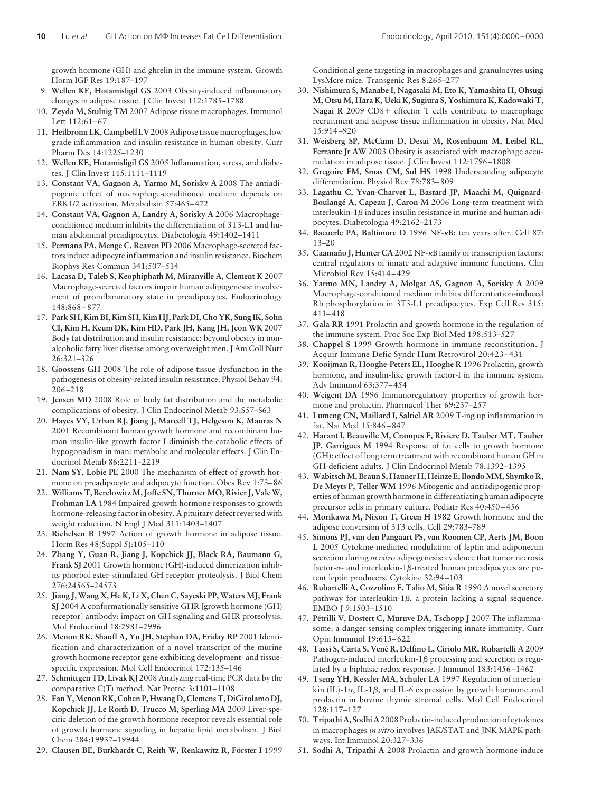growth hormone (GH) and ghrelin in the immune system. Growth Horm IGF Res 19:187–197

- 9. **Wellen KE, Hotamisligil GS** 2003 Obesity-induced inflammatory changes in adipose tissue. J Clin Invest 112:1785–1788
- 10. **Zeyda M, Stulnig TM** 2007 Adipose tissue macrophages. Immunol Lett 112:61-67
- 11. **Heilbronn LK, Campbell LV** 2008 Adipose tissue macrophages, low grade inflammation and insulin resistance in human obesity. Curr Pharm Des 14:1225–1230
- 12. **Wellen KE, Hotamisligil GS** 2005 Inflammation, stress, and diabetes. J Clin Invest 115:1111–1119
- 13. **Constant VA, Gagnon A, Yarmo M, Sorisky A** 2008 The antiadipogenic effect of macrophage-conditioned medium depends on ERK1/2 activation. Metabolism 57:465– 472
- 14. **Constant VA, Gagnon A, Landry A, Sorisky A** 2006 Macrophageconditioned medium inhibits the differentiation of 3T3-L1 and human abdominal preadipocytes. Diabetologia 49:1402–1411
- 15. **Permana PA, Menge C, Reaven PD** 2006 Macrophage-secreted factors induce adipocyte inflammation and insulin resistance. Biochem Biophys Res Commun 341:507–514
- 16. **Lacasa D, Taleb S, Keophiphath M, Miranville A, Clement K** 2007 Macrophage-secreted factors impair human adipogenesis: involvement of proinflammatory state in preadipocytes. Endocrinology 148:868 – 877
- 17. **Park SH, Kim BI, Kim SH, Kim HJ, Park DI, Cho YK, Sung IK, Sohn CI, Kim H, Keum DK, Kim HD, Park JH, Kang JH, Jeon WK** 2007 Body fat distribution and insulin resistance: beyond obesity in nonalcoholic fatty liver disease among overweight men. J Am Coll Nutr 26:321–326
- 18. **Goossens GH** 2008 The role of adipose tissue dysfunction in the pathogenesis of obesity-related insulin resistance. Physiol Behav 94: 206 –218
- 19. **Jensen MD** 2008 Role of body fat distribution and the metabolic complications of obesity. J Clin Endocrinol Metab 93:S57–S63
- 20. **Hayes VY, Urban RJ, Jiang J, Marcell TJ, Helgeson K, Mauras N** 2001 Recombinant human growth hormone and recombinant human insulin-like growth factor I diminish the catabolic effects of hypogonadism in man: metabolic and molecular effects. J Clin Endocrinol Metab 86:2211–2219
- 21. **Nam SY, Lobie PE** 2000 The mechanism of effect of growth hormone on preadipocyte and adipocyte function. Obes Rev 1:73– 86
- 22. **Williams T, Berelowitz M, Joffe SN, Thorner MO, Rivier J, Vale W, Frohman LA** 1984 Impaired growth hormone responses to growth hormone-releasing factor in obesity. A pituitary defect reversed with weight reduction. N Engl J Med 311:1403–1407
- 23. **Richelsen B** 1997 Action of growth hormone in adipose tissue. Horm Res 48(Suppl 5):105–110
- 24. **Zhang Y, Guan R, Jiang J, Kopchick JJ, Black RA, Baumann G, Frank SJ** 2001 Growth hormone (GH)-induced dimerization inhibits phorbol ester-stimulated GH receptor proteolysis. J Biol Chem 276:24565–24573
- 25. **Jiang J, Wang X, He K, Li X, Chen C, Sayeski PP, Waters MJ, Frank SJ** 2004 A conformationally sensitive GHR [growth hormone (GH) receptor] antibody: impact on GH signaling and GHR proteolysis. Mol Endocrinol 18:2981–2996
- 26. **Menon RK, Shaufl A, Yu JH, Stephan DA, Friday RP** 2001 Identification and characterization of a novel transcript of the murine growth hormone receptor gene exhibiting development- and tissuespecific expression. Mol Cell Endocrinol 172:135–146
- 27. **Schmittgen TD, Livak KJ** 2008 Analyzing real-time PCR data by the comparative C(T) method. Nat Protoc 3:1101–1108
- 28. **Fan Y,Menon RK, Cohen P, Hwang D, Clemens T, DiGirolamo DJ, Kopchick JJ, Le Roith D, Trucco M, Sperling MA** 2009 Liver-specific deletion of the growth hormone receptor reveals essential role of growth hormone signaling in hepatic lipid metabolism. J Biol Chem 284:19937–19944
- 29. Clausen BE, Burkhardt C, Reith W, Renkawitz R, Förster I 1999

Conditional gene targeting in macrophages and granulocytes using LysMcre mice. Transgenic Res 8:265–277

- 30. **Nishimura S, Manabe I, Nagasaki M, Eto K, Yamashita H, Ohsugi M, Otsu M, Hara K, Ueki K, Sugiura S, Yoshimura K, Kadowaki T,** Nagai R 2009 CD8+ effector T cells contribute to macrophage recruitment and adipose tissue inflammation in obesity. Nat Med 15:914 –920
- 31. **Weisberg SP, McCann D, Desai M, Rosenbaum M, Leibel RL, Ferrante Jr AW** 2003 Obesity is associated with macrophage accumulation in adipose tissue. J Clin Invest 112:1796 –1808
- 32. **Gregoire FM, Smas CM, Sul HS** 1998 Understanding adipocyte differentiation. Physiol Rev 78:783– 809
- 33. **Lagathu C, Yvan-Charvet L, Bastard JP, Maachi M, Quignard-**Boulangé A, Capeau J, Caron M 2006 Long-term treatment with interleukin-1 $\beta$  induces insulin resistance in murine and human adipocytes. Diabetologia 49:2162–2173
- 34. Baeuerle PA, Baltimore D 1996 NF-<sub>KB</sub>: ten years after. Cell 87: 13–20
- 35. Caamaño J, Hunter CA 2002 NF-<sub>K</sub>B family of transcription factors: central regulators of innate and adaptive immune functions. Clin Microbiol Rev 15:414 – 429
- 36. **Yarmo MN, Landry A, Molgat AS, Gagnon A, Sorisky A** 2009 Macrophage-conditioned medium inhibits differentiation-induced Rb phosphorylation in 3T3-L1 preadipocytes. Exp Cell Res 315: 411– 418
- 37. **Gala RR** 1991 Prolactin and growth hormone in the regulation of the immune system. Proc Soc Exp Biol Med 198:513–527
- 38. **Chappel S** 1999 Growth hormone in immune reconstitution. J Acquir Immune Defic Syndr Hum Retrovirol 20:423– 431
- 39. **Kooijman R, Hooghe-Peters EL, Hooghe R** 1996 Prolactin, growth hormone, and insulin-like growth factor-I in the immune system. Adv Immunol 63:377– 454
- 40. **Weigent DA** 1996 Immunoregulatory properties of growth hormone and prolactin. Pharmacol Ther 69:237–257
- 41. **Lumeng CN, Maillard I, Saltiel AR** 2009 T-ing up inflammation in fat. Nat Med 15:846 – 847
- 42. **Harant I, Beauville M, Crampes F, Riviere D, Tauber MT, Tauber JP, Garrigues M** 1994 Response of fat cells to growth hormone (GH): effect of long term treatment with recombinant human GH in GH-deficient adults. J Clin Endocrinol Metab 78:1392–1395
- 43. **WabitschM, Braun S, Hauner H, Heinze E, IlondoMM, Shymko R, De Meyts P, Teller WM** 1996 Mitogenic and antiadipogenic properties of human growth hormone in differentiating human adipocyte precursor cells in primary culture. Pediatr Res 40:450 – 456
- Morikawa M, Nixon T, Green H 1982 Growth hormone and the adipose conversion of 3T3 cells. Cell 29:783–789
- 45. **Simons PJ, van den Pangaart PS, van Roomen CP, Aerts JM, Boon L** 2005 Cytokine-mediated modulation of leptin and adiponectin secretion during *in vitro* adipogenesis: evidence that tumor necrosis factor- $\alpha$ - and interleukin-1 $\beta$ -treated human preadipocytes are potent leptin producers. Cytokine 32:94 –103
- 46. **Rubartelli A, Cozzolino F, Talio M, Sitia R** 1990 A novel secretory pathway for interleukin-1 $\beta$ , a protein lacking a signal sequence. EMBO J 9:1503–1510
- 47. Pétrilli V, Dostert C, Muruve DA, Tschopp J 2007 The inflammasome: a danger sensing complex triggering innate immunity. Curr Opin Immunol 19:615– 622
- 48. **Tassi S, Carta S, Vene´ R, Delfino L, Ciriolo MR, Rubartelli A** 2009 Pathogen-induced interleukin-1 $\beta$  processing and secretion is regulated by a biphasic redox response. J Immunol 183:1456 –1462
- 49. **Tseng YH, Kessler MA, Schuler LA** 1997 Regulation of interleukin (IL)-1 $\alpha$ , IL-1 $\beta$ , and IL-6 expression by growth hormone and prolactin in bovine thymic stromal cells. Mol Cell Endocrinol 128:117–127
- 50. **Tripathi A, Sodhi A** 2008 Prolactin-induced production of cytokines in macrophages *in vitro* involves JAK/STAT and JNK MAPK pathways. Int Immunol 20:327–336
- 51. **Sodhi A, Tripathi A** 2008 Prolactin and growth hormone induce